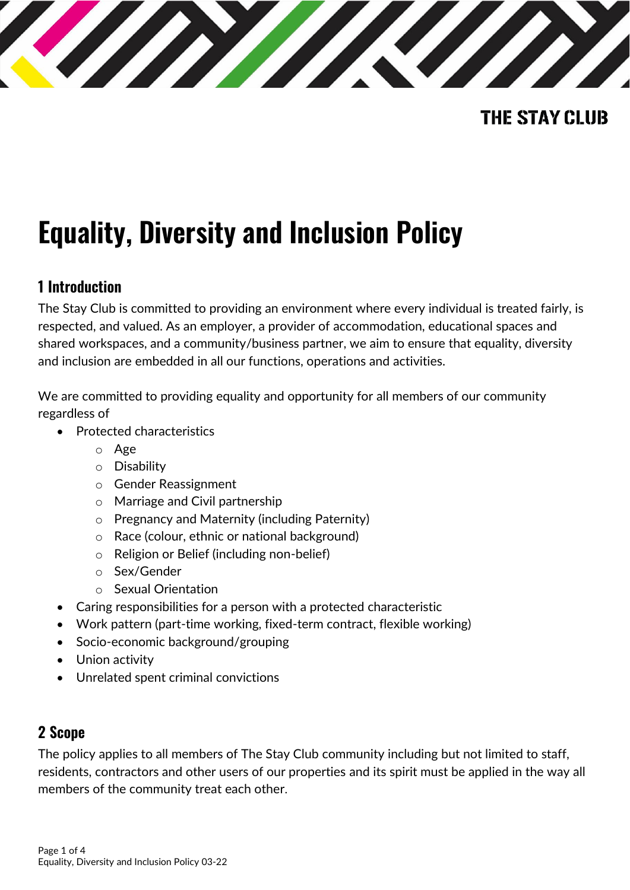

## **THE STAY CLUB**

# **Equality, Diversity and Inclusion Policy**

## **1 Introduction**

The Stay Club is committed to providing an environment where every individual is treated fairly, is respected, and valued. As an employer, a provider of accommodation, educational spaces and shared workspaces, and a community/business partner, we aim to ensure that equality, diversity and inclusion are embedded in all our functions, operations and activities.

We are committed to providing equality and opportunity for all members of our community regardless of

- Protected characteristics
	- o Age
	- o Disability
	- o Gender Reassignment
	- o Marriage and Civil partnership
	- o Pregnancy and Maternity (including Paternity)
	- o Race (colour, ethnic or national background)
	- o Religion or Belief (including non-belief)
	- o Sex/Gender
	- o Sexual Orientation
- Caring responsibilities for a person with a protected characteristic
- Work pattern (part-time working, fixed-term contract, flexible working)
- Socio-economic background/grouping
- Union activity
- Unrelated spent criminal convictions

#### **2 Scope**

The policy applies to all members of The Stay Club community including but not limited to staff, residents, contractors and other users of our properties and its spirit must be applied in the way all members of the community treat each other.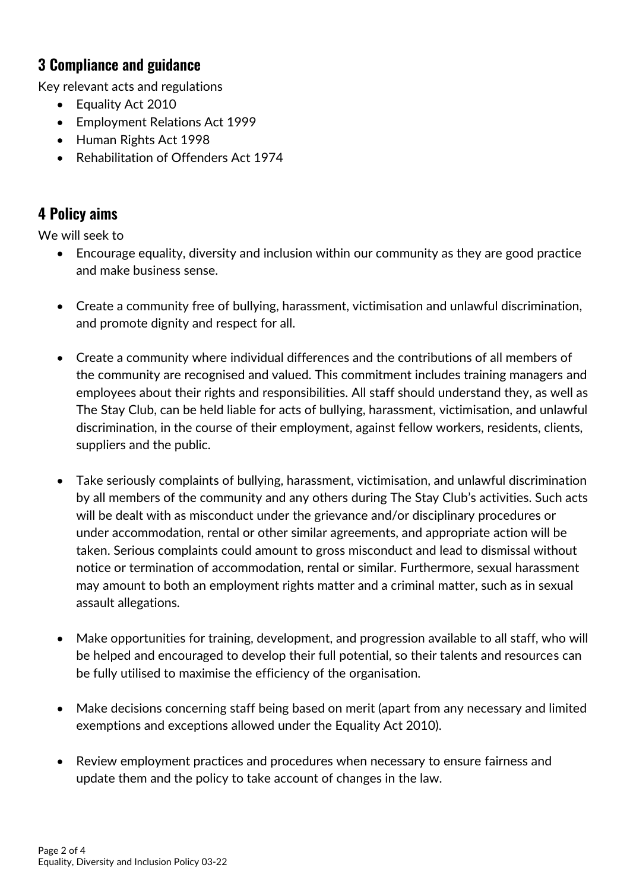## **3 Compliance and guidance**

Key relevant acts and regulations

- Equality Act 2010
- Employment Relations Act 1999
- Human Rights Act 1998
- Rehabilitation of Offenders Act 1974

## **4 Policy aims**

We will seek to

- Encourage equality, diversity and inclusion within our community as they are good practice and make business sense.
- Create a community free of bullying, harassment, victimisation and unlawful discrimination, and promote dignity and respect for all.
- Create a community where individual differences and the contributions of all members of the community are recognised and valued. This commitment includes training managers and employees about their rights and responsibilities. All staff should understand they, as well as The Stay Club, can be held liable for acts of bullying, harassment, victimisation, and unlawful discrimination, in the course of their employment, against fellow workers, residents, clients, suppliers and the public.
- Take seriously complaints of bullying, harassment, victimisation, and unlawful discrimination by all members of the community and any others during The Stay Club's activities. Such acts will be dealt with as misconduct under the grievance and/or disciplinary procedures or under accommodation, rental or other similar agreements, and appropriate action will be taken. Serious complaints could amount to gross misconduct and lead to dismissal without notice or termination of accommodation, rental or similar. Furthermore, sexual harassment may amount to both an employment rights matter and a criminal matter, such as in sexual assault allegations.
- Make opportunities for training, development, and progression available to all staff, who will be helped and encouraged to develop their full potential, so their talents and resources can be fully utilised to maximise the efficiency of the organisation.
- Make decisions concerning staff being based on merit (apart from any necessary and limited exemptions and exceptions allowed under the Equality Act 2010).
- Review employment practices and procedures when necessary to ensure fairness and update them and the policy to take account of changes in the law.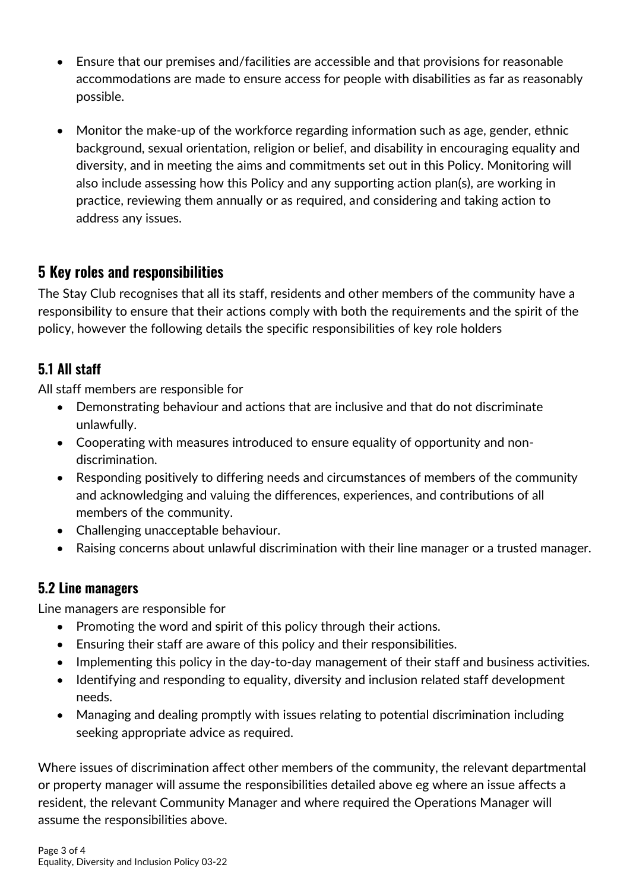- Ensure that our premises and/facilities are accessible and that provisions for reasonable accommodations are made to ensure access for people with disabilities as far as reasonably possible.
- Monitor the make-up of the workforce regarding information such as age, gender, ethnic background, sexual orientation, religion or belief, and disability in encouraging equality and diversity, and in meeting the aims and commitments set out in this Policy. Monitoring will also include assessing how this Policy and any supporting action plan(s), are working in practice, reviewing them annually or as required, and considering and taking action to address any issues.

## **5 Key roles and responsibilities**

The Stay Club recognises that all its staff, residents and other members of the community have a responsibility to ensure that their actions comply with both the requirements and the spirit of the policy, however the following details the specific responsibilities of key role holders

#### **5.1 All staff**

All staff members are responsible for

- Demonstrating behaviour and actions that are inclusive and that do not discriminate unlawfully.
- Cooperating with measures introduced to ensure equality of opportunity and nondiscrimination.
- Responding positively to differing needs and circumstances of members of the community and acknowledging and valuing the differences, experiences, and contributions of all members of the community.
- Challenging unacceptable behaviour.
- Raising concerns about unlawful discrimination with their line manager or a trusted manager.

#### **5.2 Line managers**

Line managers are responsible for

- Promoting the word and spirit of this policy through their actions.
- Ensuring their staff are aware of this policy and their responsibilities.
- Implementing this policy in the day-to-day management of their staff and business activities.
- Identifying and responding to equality, diversity and inclusion related staff development needs.
- Managing and dealing promptly with issues relating to potential discrimination including seeking appropriate advice as required.

Where issues of discrimination affect other members of the community, the relevant departmental or property manager will assume the responsibilities detailed above eg where an issue affects a resident, the relevant Community Manager and where required the Operations Manager will assume the responsibilities above.